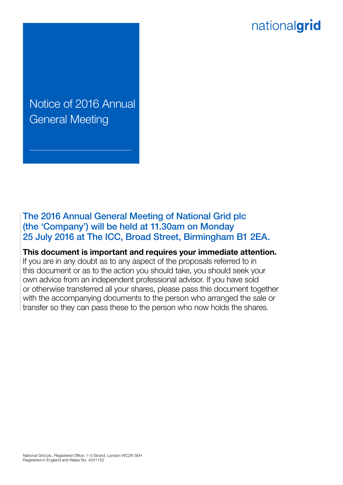# nationalgrid

Notice of 2016 Annual General Meeting

The 2016 Annual General Meeting of National Grid plc (the 'Company') will be held at 11.30am on Monday 25 July 2016 at The ICC, Broad Street, Birmingham B1 2EA.

**This document is important and requires your immediate attention.**

If you are in any doubt as to any aspect of the proposals referred to in this document or as to the action you should take, you should seek your own advice from an independent professional advisor. If you have sold or otherwise transferred all your shares, please pass this document together with the accompanying documents to the person who arranged the sale or transfer so they can pass these to the person who now holds the shares.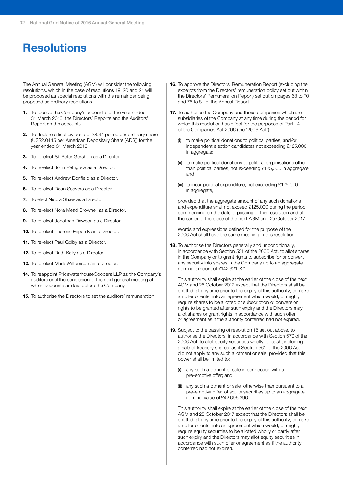## **Resolutions**

The Annual General Meeting (AGM) will consider the following resolutions, which in the case of resolutions 19, 20 and 21 will be proposed as special resolutions with the remainder being proposed as ordinary resolutions.

- **1.** To receive the Company's accounts for the year ended 31 March 2016, the Directors' Reports and the Auditors' Report on the accounts.
- **2.** To declare a final dividend of 28.34 pence per ordinary share (US\$2.0445 per American Depositary Share (ADS)) for the year ended 31 March 2016.
- **3.** To re-elect Sir Peter Gershon as a Director.
- **4.** To re-elect John Pettigrew as a Director.
- **5.** To re-elect Andrew Bonfield as a Director.
- **6.** To re-elect Dean Seavers as a Director.
- **7.** To elect Nicola Shaw as a Director.
- **8.** To re-elect Nora Mead Brownell as a Director.
- **9.** To re-elect Jonathan Dawson as a Director.
- **10.** To re-elect Therese Esperdy as a Director.
- **11.** To re-elect Paul Golby as a Director.
- **12.** To re-elect Ruth Kelly as a Director.
- **13.** To re-elect Mark Williamson as a Director.
- **14.** To reappoint PricewaterhouseCoopers LLP as the Company's auditors until the conclusion of the next general meeting at which accounts are laid before the Company.
- **15.** To authorise the Directors to set the auditors' remuneration.
- **16.** To approve the Directors' Remuneration Report (excluding the excerpts from the Directors' remuneration policy set out within the Directors' Remuneration Report) set out on pages 68 to 70 and 75 to 81 of the Annual Report.
- **17.** To authorise the Company and those companies which are subsidiaries of the Company at any time during the period for which this resolution has effect for the purposes of Part 14 of the Companies Act 2006 (the '2006 Act'):
	- (i) to make political donations to political parties, and/or independent election candidates not exceeding £125,000 in aggregate;
	- (ii) to make political donations to political organisations other than political parties, not exceeding £125,000 in aggregate; and
	- (iii) to incur political expenditure, not exceeding £125,000 in aggregate,

provided that the aggregate amount of any such donations and expenditure shall not exceed £125,000 during the period commencing on the date of passing of this resolution and at the earlier of the close of the next AGM and 25 October 2017.

Words and expressions defined for the purpose of the 2006 Act shall have the same meaning in this resolution.

**18.** To authorise the Directors generally and unconditionally, in accordance with Section 551 of the 2006 Act, to allot shares in the Company or to grant rights to subscribe for or convert any security into shares in the Company up to an aggregate nominal amount of £142,321,321.

This authority shall expire at the earlier of the close of the next AGM and 25 October 2017 except that the Directors shall be entitled, at any time prior to the expiry of this authority, to make an offer or enter into an agreement which would, or might, require shares to be allotted or subscription or conversion rights to be granted after such expiry and the Directors may allot shares or grant rights in accordance with such offer or agreement as if the authority conferred had not expired.

- **19.** Subject to the passing of resolution 18 set out above, to authorise the Directors, in accordance with Section 570 of the 2006 Act, to allot equity securities wholly for cash, including a sale of treasury shares, as if Section 561 of the 2006 Act did not apply to any such allotment or sale, provided that this power shall be limited to:
	- (i) any such allotment or sale in connection with a pre-emptive offer; and
	- (ii) any such allotment or sale, otherwise than pursuant to a pre-emptive offer, of equity securities up to an aggregate nominal value of £42,696,396.

This authority shall expire at the earlier of the close of the next AGM and 25 October 2017 except that the Directors shall be entitled, at any time prior to the expiry of this authority, to make an offer or enter into an agreement which would, or might, require equity securities to be allotted wholly or partly after such expiry and the Directors may allot equity securities in accordance with such offer or agreement as if the authority conferred had not expired.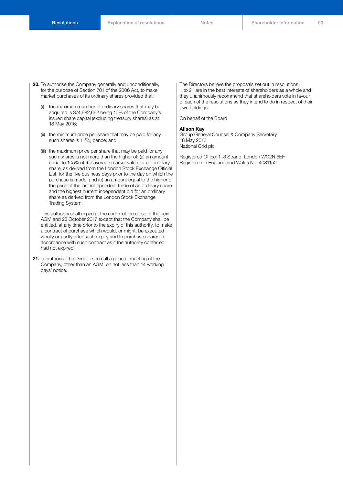- **20.** To authorise the Company generally and unconditionally, for the purpose of Section 701 of the 2006 Act, to make market purchases of its ordinary shares provided that:
	- (i) the maximum number of ordinary shares that may be acquired is 374,682,662 being 10% of the Company's issued share capital (excluding treasury shares) as at 18 May 2016;
	- (ii) the minimum price per share that may be paid for any such shares is 11<sup>17</sup>/<sub>43</sub> pence; and
	- (iii) the maximum price per share that may be paid for any such shares is not more than the higher of: (a) an amount equal to 105% of the average market value for an ordinary share, as derived from the London Stock Exchange Official List, for the five business days prior to the day on which the purchase is made; and (b) an amount equal to the higher of the price of the last independent trade of an ordinary share and the highest current independent bid for an ordinary share as derived from the London Stock Exchange Trading System.

This authority shall expire at the earlier of the close of the next AGM and 25 October 2017 except that the Company shall be entitled, at any time prior to the expiry of this authority, to make a contract of purchase which would, or might, be executed wholly or partly after such expiry and to purchase shares in accordance with such contract as if the authority conferred had not expired.

**21.** To authorise the Directors to call a general meeting of the Company, other than an AGM, on not less than 14 working days' notice.

The Directors believe the proposals set out in resolutions 1 to 21 are in the best interests of shareholders as a whole and they unanimously recommend that shareholders vote in favour of each of the resolutions as they intend to do in respect of their own holdings.

On behalf of the Board

#### **Alison Kay**

Group General Counsel & Company Secretary 18 May 2016 National Grid plc

Registered Office: 1–3 Strand, London WC2N 5EH Registered in England and Wales No. 4031152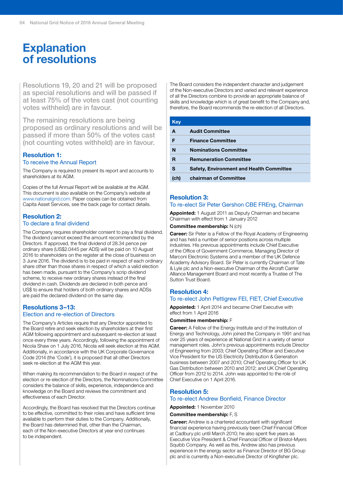## **Explanation of resolutions**

Resolutions 19, 20 and 21 will be proposed as special resolutions and will be passed if at least 75% of the votes cast (not counting votes withheld) are in favour.

The remaining resolutions are being proposed as ordinary resolutions and will be passed if more than 50% of the votes cast (not counting votes withheld) are in favour.

#### **Resolution 1:**

#### To receive the Annual Report

The Company is required to present its report and accounts to shareholders at its AGM.

Copies of the full Annual Report will be available at the AGM. This document is also available on the Company's website at www.nationalgrid.com. Paper copies can be obtained from Capita Asset Services, see the back page for contact details.

#### **Resolution 2:** To declare a final dividend

The Company requires shareholder consent to pay a final dividend. The dividend cannot exceed the amount recommended by the Directors. If approved, the final dividend of 28.34 pence per ordinary share (US\$2.0445 per ADS) will be paid on 10 August 2016 to shareholders on the register at the close of business on 3 June 2016. The dividend is to be paid in respect of each ordinary share other than those shares in respect of which a valid election has been made, pursuant to the Company's scrip dividend scheme, to receive new ordinary shares instead of the final dividend in cash. Dividends are declared in both pence and US\$ to ensure that holders of both ordinary shares and ADSs are paid the declared dividend on the same day.

### **Resolutions 3–13:**

#### Election and re-election of Directors

The Company's Articles require that any Director appointed to the Board retire and seek election by shareholders at their first AGM following appointment and subsequent re-election at least once every three years. Accordingly, following the appointment of Nicola Shaw on 1 July 2016, Nicola will seek election at this AGM. Additionally, in accordance with the UK Corporate Governance Code 2014 (the 'Code'), it is proposed that all other Directors seek re-election at the AGM this year.

When making its recommendation to the Board in respect of the election or re-election of the Directors, the Nominations Committee considers the balance of skills, experience, independence and knowledge on the Board and reviews the commitment and effectiveness of each Director.

Accordingly, the Board has resolved that the Directors continue to be effective, committed to their roles and have sufficient time available to perform their duties to the Company. Additionally, the Board has determined that, other than the Chairman, each of the Non-executive Directors at year end continues to be independent.

The Board considers the independent character and judgement of the Non-executive Directors and varied and relevant experience of all the Directors combine to provide an appropriate balance of skills and knowledge which is of great benefit to the Company and, therefore, the Board recommends the re-election of all Directors.

| Key  |                                                 |
|------|-------------------------------------------------|
| A    | <b>Audit Committee</b>                          |
| F    | <b>Finance Committee</b>                        |
| N    | <b>Nominations Committee</b>                    |
| R    | <b>Remuneration Committee</b>                   |
| S    | <b>Safety, Environment and Health Committee</b> |
| (ch) | chairman of Committee                           |

#### **Resolution 3:**

#### To re-elect Sir Peter Gershon CBE FREng, Chairman

**Appointed:** 1 August 2011 as Deputy Chairman and became Chairman with effect from 1 January 2012

#### **Committee membership:** N (ch)

**Career:** Sir Peter is a Fellow of the Royal Academy of Engineering and has held a number of senior positions across multiple industries. His previous appointments include Chief Executive of the Office of Government Commerce, Managing Director of Marconi Electronic Systems and a member of the UK Defence Academy Advisory Board. Sir Peter is currently Chairman of Tate & Lyle plc and a Non-executive Chairman of the Aircraft Carrier Alliance Management Board and most recently a Trustee of The Sutton Trust Board.

#### **Resolution 4:** To re-elect John Pettigrew FEI, FIET, Chief Executive

**Appointed:** 1 April 2014 and became Chief Executive with

### effect from 1 April 2016

#### **Committee membership:** F

**Career:** A Fellow of the Energy Institute and of the Institution of Energy and Technology, John joined the Company in 1991 and has over 25 years of experience at National Grid in a variety of senior management roles. John's previous appointments include Director of Engineering from 2003; Chief Operating Officer and Executive Vice President for the US Electricity Distribution & Generation business between 2007 and 2010; Chief Operating Officer for UK Gas Distribution between 2010 and 2012; and UK Chief Operating Officer from 2012 to 2014. John was appointed to the role of Chief Executive on 1 April 2016.

#### **Resolution 5:**

#### To re-elect Andrew Bonfield, Finance Director

**Appointed:** 1 November 2010

#### **Committee membership:** F, S

**Career:** Andrew is a chartered accountant with significant financial experience having previously been Chief Financial Officer at Cadbury plc until March 2010; he also spent five years as Executive Vice President & Chief Financial Officer of Bristol-Myers Squibb Company. As well as this, Andrew also has previous experience in the energy sector as Finance Director of BG Group plc and is currently a Non-executive Director of Kingfisher plc.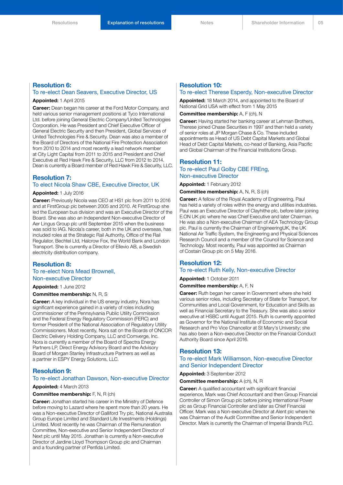#### **Resolution 6:**

#### To re-elect Dean Seavers, Executive Director, US

#### **Appointed:** 1 April 2015

**Career:** Dean began his career at the Ford Motor Company, and held various senior management positions at Tyco International Ltd. before joining General Electric Company/United Technologies Corporation. He was President and Chief Executive Officer of General Electric Security and then President, Global Services of United Technologies Fire & Security. Dean was also a member of the Board of Directors of the National Fire Protection Association from 2010 to 2014 and most recently a lead network member at City Light Capital from 2011 to 2015 and President and Chief Executive at Red Hawk Fire & Security, LLC from 2012 to 2014. Dean is currently a Board member of Red Hawk Fire & Security, LLC.

#### **Resolution 7:**

#### To elect Nicola Shaw CBE, Executive Director, UK

#### **Appointed:** 1 July 2016

**Career:** Previously Nicola was CEO at HS1 plc from 2011 to 2016 and at FirstGroup plc between 2005 and 2010. At FirstGroup she led the European bus division and was an Executive Director of the Board. She was also an Independent Non-executive Director of Aer Lingus Group plc until September 2015 when the business was sold to IAG. Nicola's career, both in the UK and overseas, has included roles at the Strategic Rail Authority, Office of the Rail Regulator, Bechtel Ltd, Halcrow Fox, the World Bank and London Transport. She is currently a Director of Ellevio AB, a Swedish electricity distribution company.

#### **Resolution 8:**

#### To re-elect Nora Mead Brownell, Non-executive Director

**Appointed:** 1 June 2012

#### **Committee membership:** N, R, S

**Career:** A key individual in the US energy industry, Nora has significant experience gained in a variety of roles including Commissioner of the Pennsylvania Public Utility Commission and the Federal Energy Regulatory Commission (FERC) and former President of the National Association of Regulatory Utility Commissioners. Most recently, Nora sat on the Boards of ONCOR Electric Delivery Holding Company, LLC and Comverge, Inc. Nora is currently a member of the Board of Spectra Energy Partners LP, Direct Energy Advisory Board and the Advisory Board of Morgan Stanley Infrastructure Partners as well as a partner in ESPY Energy Solutions, LLC.

#### **Resolution 9:**

#### To re-elect Jonathan Dawson, Non-executive Director

#### **Appointed:** 4 March 2013

#### **Committee membership:** F, N, R (ch)

**Career:** Jonathan started his career in the Ministry of Defence before moving to Lazard where he spent more than 20 years. He was a Non-executive Director of Galliford Try plc, National Australia Group Europe Limited and Standard Life Investments (Holdings) Limited. Most recently he was Chairman of the Remuneration Committee, Non-executive and Senior Independent Director of Next plc until May 2015. Jonathan is currently a Non-executive Director of Jardine Lloyd Thompson Group plc and Chairman and a founding partner of Penfida Limited.

### **Resolution 10:**

#### To re-elect Therese Esperdy, Non-executive Director

**Appointed:** 18 March 2014, and appointed to the Board of National Grid USA with effect from 1 May 2015

#### **Committee membership:** A, F (ch), N

**Career:** Having started her banking career at Lehman Brothers, Therese joined Chase Securities in 1997 and then held a variety of senior roles at JP Morgan Chase & Co. These included appointments as Head of US Debt Capital Markets and Global Head of Debt Capital Markets, co-head of Banking, Asia Pacific and Global Chairman of the Financial Institutions Group.

#### **Resolution 11:** To re-elect Paul Golby CBE FREng,

#### Non-executive Director

**Appointed:** 1 February 2012

**Committee membership:** A, N, R, S (ch)

**Career:** A fellow of the Royal Academy of Engineering, Paul has held a variety of roles within the energy and utilities industries. Paul was an Executive Director of Clayhithe plc, before later joining E.ON UK plc where he was Chief Executive and later Chairman. He was also a Non-executive Chairman of AEA Technology Group plc. Paul is currently the Chairman of EngineeringUK, the UK National Air Traffic System, the Engineering and Physical Sciences Research Council and a member of the Council for Science and Technology. Most recently, Paul was appointed as Chairman of Costain Group plc on 5 May 2016.

### **Resolution 12:**

#### To re-elect Ruth Kelly, Non-executive Director

**Appointed:** 1 October 2011

#### **Committee membership:** A, F, N

**Career:** Ruth began her career in Government where she held various senior roles, including Secretary of State for Transport, for Communities and Local Government, for Education and Skills as well as Financial Secretary to the Treasury. She was also a senior executive at HSBC until August 2015. Ruth is currently appointed as Governor for the National Institute of Economic and Social Research and Pro Vice Chancellor at St Mary's University; she has also been a Non-executive Director on the Financial Conduct Authority Board since April 2016.

#### **Resolution 13:**

#### To re-elect Mark Williamson, Non-executive Director and Senior Independent Director

#### **Appointed:** 3 September 2012

**Committee membership:** A (ch), N, R

**Career:** A qualified accountant with significant financial experience, Mark was Chief Accountant and then Group Financial Controller of Simon Group plc before joining International Power plc as Group Financial Controller and later as Chief Financial Officer. Mark was a Non-executive Director at Alent plc where he was Chairman of the Audit Committee and Senior Independent Director. Mark is currently the Chairman of Imperial Brands PLC.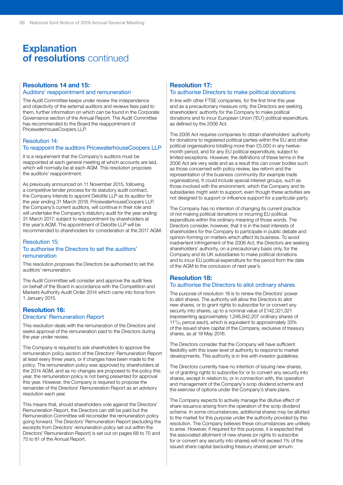### **Explanation of resolutions** continued

#### **Resolutions 14 and 15:** Auditors' reappointment and remuneration

The Audit Committee keeps under review the independence and objectivity of the external auditors and reviews fees paid to them, further information on which can be found in the Corporate Governance section of the Annual Report. The Audit Committee has recommended to the Board the reappointment of PricewaterhouseCoopers LLP.

#### Resolution 14: To reappoint the auditors PricewaterhouseCoopers LLP

It is a requirement that the Company's auditors must be reappointed at each general meeting at which accounts are laid, which will normally be at each AGM. This resolution proposes the auditors' reappointment.

As previously announced on 11 November 2015, following a competitive tender process for its statutory audit contract, the Company intends to appoint Deloitte LLP as its auditor for the year ending 31 March 2018. PricewaterhouseCoopers LLP, the Company's current auditors, will continue in their role and will undertake the Company's statutory audit for the year ending 31 March 2017, subject to reappointment by shareholders at this year's AGM. The appointment of Deloitte LLP will be recommended to shareholders for consideration at the 2017 AGM.

#### Resolution 15: To authorise the Directors to set the auditors' remuneration

This resolution proposes the Directors be authorised to set the auditors' remuneration.

The Audit Committee will consider and approve the audit fees on behalf of the Board in accordance with the Competition and Markets Authority Audit Order 2014 which came into force from 1 January 2015.

#### **Resolution 16:** Directors' Remuneration Report

This resolution deals with the remuneration of the Directors and seeks approval of the remuneration paid to the Directors during the year under review.

The Company is required to ask shareholders to approve the remuneration policy section of the Directors' Remuneration Report at least every three years, or if changes have been made to the policy. The remuneration policy was approved by shareholders at the 2014 AGM, and as no changes are proposed to the policy this year, the remuneration policy is not being presented for approval this year. However, the Company is required to propose the remainder of the Directors' Remuneration Report as an advisory resolution each year.

This means that, should shareholders vote against the Directors' Remuneration Report, the Directors can still be paid but the Remuneration Committee will reconsider the remuneration policy going forward. The Directors' Remuneration Report (excluding the excerpts from Directors' remuneration policy set out within the Directors' Remuneration Report) is set out on pages 68 to 70 and 75 to 81 of the Annual Report.

#### **Resolution 17:** To authorise Directors to make political donations

In line with other FTSE companies, for the first time this year and as a precautionary measure only, the Directors are seeking shareholders' authority for the Company to make political donations and to incur European Union ('EU') political expenditure, as defined by the 2006 Act.

The 2006 Act requires companies to obtain shareholders' authority for donations to registered political parties within the EU and other political organisations totalling more than £5,000 in any twelvemonth period, and for any EU political expenditure, subject to limited exceptions. However, the definitions of these terms in the 2006 Act are very wide and as a result this can cover bodies such as those concerned with policy review, law reform and the representation of the business community (for example trade organisations). It could include special interest groups, such as those involved with the environment, which the Company and its subsidiaries might wish to support, even though these activities are not designed to support or influence support for a particular party.

The Company has no intention of changing its current practice of not making political donations or incurring EU political expenditure within the ordinary meaning of those words. The Directors consider, however, that it is in the best interests of shareholders for the Company to participate in public debate and opinion-forming on matters which affect its business. To avoid inadvertent infringement of the 2006 Act, the Directors are seeking shareholders' authority, on a precautionary basis only, for the Company and its UK subsidiaries to make political donations and to incur EU political expenditure for the period from the date of the AGM to the conclusion of next year's.

### **Resolution 18:**

#### To authorise the Directors to allot ordinary shares

The purpose of resolution 18 is to renew the Directors' power to allot shares. The authority will allow the Directors to allot new shares, or to grant rights to subscribe for or convert any security into shares, up to a nominal value of £142,321,321 (representing approximately 1,248,942,207 ordinary shares of 1117⁄43 pence each), which is equivalent to approximately 33% of the issued share capital of the Company, exclusive of treasury shares, as at 18 May 2016.

The Directors consider that the Company will have sufficient flexibility with this lower level of authority to respond to market developments. This authority is in line with investor guidelines.

The Directors currently have no intention of issuing new shares, or of granting rights to subscribe for or to convert any security into shares, except in relation to, or in connection with, the operation and management of the Company's scrip dividend scheme and the exercise of options under the Company's share plans.

The Company expects to actively manage the dilutive effect of share issuance arising from the operation of the scrip dividend scheme. In some circumstances, additional shares may be allotted to the market for this purpose under the authority provided by this resolution. The Company believes these circumstances are unlikely to arise. However, if required for this purpose, it is expected that the associated allotment of new shares (or rights to subscribe for or convert any security into shares) will not exceed 1% of the issued share capital (excluding treasury shares) per annum.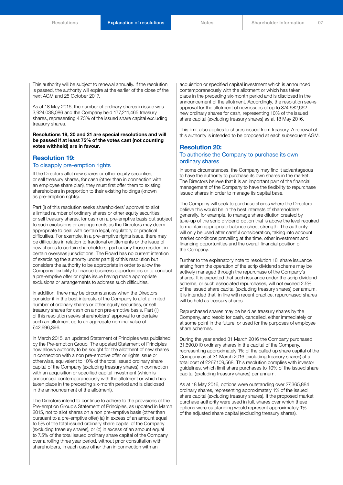This authority will be subject to renewal annually. If the resolution is passed, the authority will expire at the earlier of the close of the next AGM and 25 October 2017.

As at 18 May 2016, the number of ordinary shares in issue was 3,924,038,086 and the Company held 177,211,465 treasury shares, representing 4.73% of the issued share capital excluding treasury shares.

**Resolutions 19, 20 and 21 are special resolutions and will be passed if at least 75% of the votes cast (not counting votes withheld) are in favour.**

#### **Resolution 19:** To disapply pre-emption rights

# If the Directors allot new shares or other equity securities,

or sell treasury shares, for cash (other than in connection with an employee share plan), they must first offer them to existing shareholders in proportion to their existing holdings (known as pre-emption rights).

Part (i) of this resolution seeks shareholders' approval to allot a limited number of ordinary shares or other equity securities, or sell treasury shares, for cash on a pre-emptive basis but subject to such exclusions or arrangements as the Directors may deem appropriate to deal with certain legal, regulatory or practical difficulties. For example, in a pre-emptive rights issue, there may be difficulties in relation to fractional entitlements or the issue of new shares to certain shareholders, particularly those resident in certain overseas jurisdictions. The Board has no current intention of exercising the authority under part (i) of this resolution but considers the authority to be appropriate in order to allow the Company flexibility to finance business opportunities or to conduct a pre-emptive offer or rights issue having made appropriate exclusions or arrangements to address such difficulties.

In addition, there may be circumstances when the Directors consider it in the best interests of the Company to allot a limited number of ordinary shares or other equity securities, or sell treasury shares for cash on a non pre-emptive basis. Part (ii) of this resolution seeks shareholders' approval to undertake such an allotment up to an aggregate nominal value of £42,696,396.

In March 2015, an updated Statement of Principles was published by the Pre-emption Group. The updated Statement of Principles now allows authority to be sought for the allotment of new shares in connection with a non pre-emptive offer or rights issue or otherwise, equivalent to 10% of the total issued ordinary share capital of the Company (excluding treasury shares) in connection with an acquisition or specified capital investment (which is announced contemporaneously with the allotment or which has taken place in the preceding six-month period and is disclosed in the announcement of the allotment).

The Directors intend to continue to adhere to the provisions of the Pre-emption Group's Statement of Principles, as updated in March 2015, not to allot shares on a non pre-emptive basis (other than pursuant to a pre-emptive offer) (a) in excess of an amount equal to 5% of the total issued ordinary share capital of the Company (excluding treasury shares), or (b) in excess of an amount equal to 7.5% of the total issued ordinary share capital of the Company over a rolling three year period, without prior consultation with shareholders, in each case other than in connection with an

acquisition or specified capital investment which is announced contemporaneously with the allotment or which has taken place in the preceding six-month period and is disclosed in the announcement of the allotment. Accordingly, the resolution seeks approval for the allotment of new issues of up to 374,682,662 new ordinary shares for cash, representing 10% of the issued share capital (excluding treasury shares) as at 18 May 2016.

This limit also applies to shares issued from treasury. A renewal of this authority is intended to be proposed at each subsequent AGM.

#### **Resolution 20:** To authorise the Company to purchase its own ordinary shares

In some circumstances, the Company may find it advantageous to have the authority to purchase its own shares in the market. The Directors believe that it is an important part of the financial management of the Company to have the flexibility to repurchase issued shares in order to manage its capital base.

The Company will seek to purchase shares where the Directors believe this would be in the best interests of shareholders generally, for example, to manage share dilution created by take-up of the scrip dividend option that is above the level required to maintain appropriate balance sheet strength. The authority will only be used after careful consideration, taking into account market conditions prevailing at the time, other investment and financing opportunities and the overall financial position of the Company.

Further to the explanatory note to resolution 18, share issuance arising from the operation of the scrip dividend scheme may be actively managed through the repurchase of the Company's shares. It is expected that such issuance under the scrip dividend scheme, or such associated repurchases, will not exceed 2.5% of the issued share capital (excluding treasury shares) per annum. It is intended that, in line with recent practice, repurchased shares will be held as treasury shares.

Repurchased shares may be held as treasury shares by the Company, and resold for cash, cancelled, either immediately or at some point in the future, or used for the purposes of employee share schemes.

During the year ended 31 March 2016 the Company purchased 31,690,010 ordinary shares in the capital of the Company, representing approximately 1% of the called up share capital of the Company as at 31 March 2016 (excluding treasury shares) at a total cost of £267,109,568. This resolution complies with investor guidelines, which limit share purchases to 10% of the issued share capital (excluding treasury shares) per annum.

As at 18 May 2016, options were outstanding over 27,365,884 ordinary shares, representing approximately 1% of the issued share capital (excluding treasury shares). If the proposed market purchase authority were used in full, shares over which these options were outstanding would represent approximately 1% of the adjusted share capital (excluding treasury shares).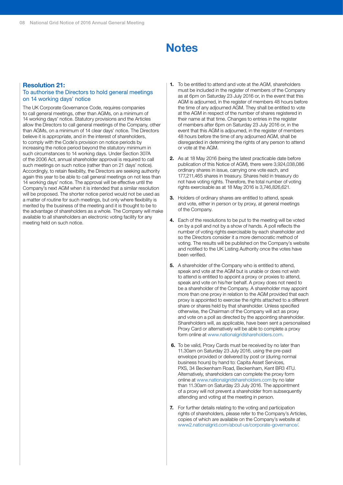## **Notes**

#### **Resolution 21:**

#### To authorise the Directors to hold general meetings on 14 working days' notice

The UK Corporate Governance Code, requires companies to call general meetings, other than AGMs, on a minimum of 14 working days' notice. Statutory provisions and the Articles allow the Directors to call general meetings of the Company, other than AGMs, on a minimum of 14 clear days' notice. The Directors believe it is appropriate, and in the interest of shareholders, to comply with the Code's provision on notice periods by increasing the notice period beyond the statutory minimum in such circumstances to 14 working days. Under Section 307A of the 2006 Act, annual shareholder approval is required to call such meetings on such notice (rather than on 21 days' notice). Accordingly, to retain flexibility, the Directors are seeking authority again this year to be able to call general meetings on not less than 14 working days' notice. The approval will be effective until the Company's next AGM when it is intended that a similar resolution will be proposed. The shorter notice period would not be used as a matter of routine for such meetings, but only where flexibility is merited by the business of the meeting and it is thought to be to the advantage of shareholders as a whole. The Company will make available to all shareholders an electronic voting facility for any meeting held on such notice.

- **1.** To be entitled to attend and vote at the AGM, shareholders must be included in the register of members of the Company as at 6pm on Saturday 23 July 2016 or, in the event that this AGM is adjourned, in the register of members 48 hours before the time of any adjourned AGM. They shall be entitled to vote at the AGM in respect of the number of shares registered in their name at that time. Changes to entries in the register of members after 6pm on Saturday 23 July 2016 or, in the event that this AGM is adjourned, in the register of members 48 hours before the time of any adjourned AGM, shall be disregarded in determining the rights of any person to attend or vote at the AGM.
- **2.** As at 18 May 2016 (being the latest practicable date before publication of this Notice of AGM), there were 3,924,038,086 ordinary shares in issue, carrying one vote each, and 177,211,465 shares in treasury. Shares held in treasury do not have voting rights. Therefore, the total number of voting rights exercisable as at 18 May 2016 is 3,746,826,621.
- **3.** Holders of ordinary shares are entitled to attend, speak and vote, either in person or by proxy, at general meetings of the Company.
- **4.** Each of the resolutions to be put to the meeting will be voted on by a poll and not by a show of hands. A poll reflects the number of voting rights exercisable by each shareholder and so the Directors consider it a more democratic method of voting. The results will be published on the Company's website and notified to the UK Listing Authority once the votes have been verified.
- **5.** A shareholder of the Company who is entitled to attend, speak and vote at the AGM but is unable or does not wish to attend is entitled to appoint a proxy or proxies to attend, speak and vote on his/her behalf. A proxy does not need to be a shareholder of the Company. A shareholder may appoint more than one proxy in relation to the AGM provided that each proxy is appointed to exercise the rights attached to a different share or shares held by that shareholder. Unless specified otherwise, the Chairman of the Company will act as proxy and vote on a poll as directed by the appointing shareholder. Shareholders will, as applicable, have been sent a personalised Proxy Card or alternatively will be able to complete a proxy form online at www.nationalgridshareholders.com.
- **6.** To be valid, Proxy Cards must be received by no later than 11.30am on Saturday 23 July 2016, using the pre-paid envelope provided or delivered by post or (during normal business hours) by hand to: Capita Asset Services, PXS, 34 Beckenham Road, Beckenham, Kent BR3 4TU. Alternatively, shareholders can complete the proxy form online at www.nationalgridshareholders.com by no later than 11.30am on Saturday 23 July 2016. The appointment of a proxy will not prevent a shareholder from subsequently attending and voting at the meeting in person.
- **7.** For further details relating to the voting and participation rights of shareholders, please refer to the Company's Articles, copies of which are available on the Company's website at [www2.nationalgrid.com/about-us/corporate-governance/.](www2.nationalgrid.com/about-us/corporate-governance/)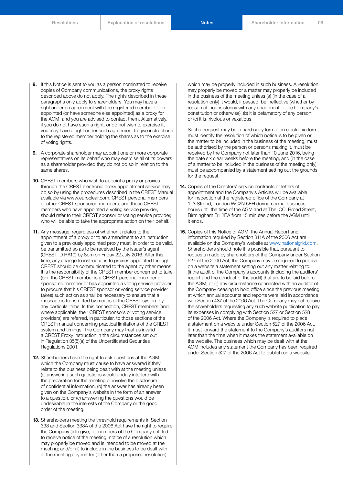- **8.** If this Notice is sent to you as a person nominated to receive copies of Company communications, the proxy rights described above do not apply. The rights described in these paragraphs only apply to shareholders. You may have a right under an agreement with the registered member to be appointed (or have someone else appointed) as a proxy for the AGM, and you are advised to contact them. Alternatively, if you do not have such a right, or do not wish to exercise it, you may have a right under such agreement to give instructions to the registered member holding the shares as to the exercise of voting rights.
- **9.** A corporate shareholder may appoint one or more corporate representatives on its behalf who may exercise all of its powers as a shareholder provided they do not do so in relation to the same shares.
- **10.** CREST members who wish to appoint a proxy or proxies through the CREST electronic proxy appointment service may do so by using the procedures described in the CREST Manual available via www.euroclear.com. CREST personal members or other CREST sponsored members, and those CREST members who have appointed a voting service provider, should refer to their CREST sponsor or voting service provider, who will be able to take the appropriate action on their behalf.
- **11.** Any message, regardless of whether it relates to the appointment of a proxy or to an amendment to an instruction given to a previously appointed proxy must, in order to be valid, be transmitted so as to be received by the issuer's agent (CREST ID RA10) by 8pm on Friday 22 July 2016. After this time, any change to instructions to proxies appointed through CREST should be communicated to the agent by other means. It is the responsibility of the CREST member concerned to take (or if the CREST member is a CREST personal member or sponsored member or has appointed a voting service provider, to procure that his CREST sponsor or voting service provider takes) such action as shall be necessary to ensure that a message is transmitted by means of the CREST system by any particular time. In this connection, CREST members (and, where applicable, their CREST sponsors or voting service providers) are referred, in particular, to those sections of the CREST manual concerning practical limitations of the CREST system and timings. The Company may treat as invalid a CREST Proxy Instruction in the circumstances set out in Regulation 35(5)(a) of the Uncertificated Securities Regulations 2001.
- **12.** Shareholders have the right to ask questions at the AGM which the Company must cause to have answered if they relate to the business being dealt with at the meeting unless (a) answering such questions would unduly interfere with the preparation for the meeting or involve the disclosure of confidential information, (b) the answer has already been given on the Company's website in the form of an answer to a question, or (c) answering the questions would be undesirable in the interests of the Company or the good order of the meeting.
- **13.** Shareholders meeting the threshold requirements in Section 338 and Section 338A of the 2006 Act have the right to require the Company (i) to give, to members of the Company entitled to receive notice of the meeting, notice of a resolution which may properly be moved and is intended to be moved at the meeting; and/or (ii) to include in the business to be dealt with at the meeting any matter (other than a proposed resolution)

which may be properly included in such business. A resolution may properly be moved or a matter may properly be included in the business of the meeting unless (a) (in the case of a resolution only) it would, if passed, be ineffective (whether by reason of inconsistency with any enactment or the Company's constitution or otherwise), (b) it is defamatory of any person, or (c) it is frivolous or vexatious.

Such a request may be in hard copy form or in electronic form, must identify the resolution of which notice is to be given or the matter to be included in the business of the meeting, must be authorised by the person or persons making it, must be received by the Company not later than 10 June 2016, being the date six clear weeks before the meeting, and (in the case of a matter to be included in the business of the meeting only) must be accompanied by a statement setting out the grounds for the request.

- **14.** Copies of the Directors' service contracts or letters of appointment and the Company's Articles will be available for inspection at the registered office of the Company at 1–3 Strand, London WC2N 5EH during normal business hours until the time of the AGM and at The ICC, Broad Street, Birmingham B1 2EA from 15 minutes before the AGM until it ends.
- **15.** Copies of this Notice of AGM, the Annual Report and information required by Section 311A of the 2006 Act are available on the Company's website at www.nationalgrid.com. Shareholders should note it is possible that, pursuant to requests made by shareholders of the Company under Section 527 of the 2006 Act, the Company may be required to publish on a website a statement setting out any matter relating to: (i) the audit of the Company's accounts (including the auditors' report and the conduct of the audit) that are to be laid before the AGM; or (ii) any circumstance connected with an auditor of the Company ceasing to hold office since the previous meeting at which annual accounts and reports were laid in accordance with Section 437 of the 2006 Act. The Company may not require the shareholders requesting any such website publication to pay its expenses in complying with Section 527 or Section 528 of the 2006 Act. Where the Company is required to place a statement on a website under Section 527 of the 2006 Act, it must forward the statement to the Company's auditors not later than the time when it makes the statement available on the website. The business which may be dealt with at the AGM includes any statement the Company has been required under Section 527 of the 2006 Act to publish on a website.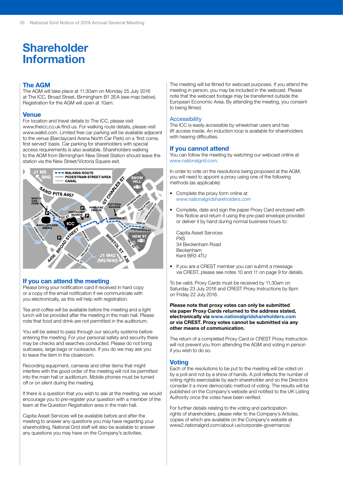## **Shareholder Information**

#### **The AGM**

The AGM will take place at 11.30am on Monday 25 July 2016 at The ICC, Broad Street, Birmingham B1 2EA (see map below). Registration for the AGM will open at 10am.

#### **Venue**

For location and travel details to The ICC, please visit www.theicc.co.uk/find-us. For walking route details, please visit www.walkit.com. Limited free car parking will be available adjacent to the venue (Barclaycard Arena North Car Park) on a 'first come, first served' basis. Car parking for shareholders with special access requirements is also available. Shareholders walking to the AGM from Birmingham New Street Station should leave the station via the New Street/Victoria Square exit.



#### **If you can attend the meeting**

Please bring your notification card if received in hard copy or a copy of the email notification if we communicate with you electronically, as this will help with registration.

Tea and coffee will be available before the meeting and a light lunch will be provided after the meeting in the main hall. Please note that food and drink are not permitted in the auditorium.

You will be asked to pass through our security systems before entering the meeting. For your personal safety and security there may be checks and searches conducted. Please do not bring suitcases, large bags or rucksacks. If you do we may ask you to leave the item in the cloakroom.

Recording equipment, cameras and other items that might interfere with the good order of the meeting will not be permitted into the main hall or auditorium. Mobile phones must be turned off or on silent during the meeting.

If there is a question that you wish to ask at the meeting, we would encourage you to pre-register your question with a member of the team at the Question Registration area in the main hall.

Capita Asset Services will be available before and after the meeting to answer any questions you may have regarding your shareholding. National Grid staff will also be available to answer any questions you may have on the Company's activities.

The meeting will be filmed for webcast purposes. If you attend the meeting in person, you may be included in the webcast. Please note that the webcast footage may be transferred outside the European Economic Area. By attending the meeting, you consent to being filmed.

#### **Accessibility**

The ICC is easily accessible by wheelchair users and has lift access inside. An induction loop is available for shareholders with hearing difficulties.

#### **If you cannot attend**

You can follow the meeting by watching our webcast online at www.nationalgrid.com.

In order to vote on the resolutions being proposed at the AGM, you will need to appoint a proxy using one of the following methods (as applicable):

- Complete the proxy form online at www.nationalgridshareholders.com
- Complete, date and sign the paper Proxy Card enclosed with this Notice and return it using the pre-paid envelope provided or deliver it by hand during normal business hours to:

Capita Asset Services **PXS** 34 Beckenham Road Beckenham Kent BR3 4TU

• If you are a CREST member you can submit a message via CREST, please see notes 10 and 11 on page 9 for details.

To be valid, Proxy Cards must be received by 11.30am on Saturday 23 July 2016 and CREST Proxy Instructions by 8pm on Friday 22 July 2016.

#### **Please note that proxy votes can only be submitted via paper Proxy Cards returned to the address stated, electronically via www.nationalgridshareholders.com or via CREST. Proxy votes cannot be submitted via any other means of communication.**

The return of a completed Proxy Card or CREST Proxy Instruction will not prevent you from attending the AGM and voting in person if you wish to do so.

#### **Voting**

Each of the resolutions to be put to the meeting will be voted on by a poll and not by a show of hands. A poll reflects the number of voting rights exercisable by each shareholder and so the Directors consider it a more democratic method of voting. The results will be published on the Company's website and notified to the UK Listing Authority once the votes have been verified.

For further details relating to the voting and participation rights of shareholders, please refer to the Company's Articles, copies of which are available on the Company's website at www2.nationalgrid.com/about-us/corporate-governance/.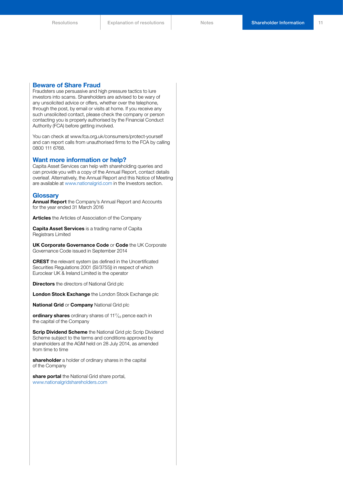#### **Beware of Share Fraud**

Fraudsters use persuasive and high pressure tactics to lure investors into scams. Shareholders are advised to be wary of any unsolicited advice or offers, whether over the telephone, through the post, by email or visits at home. If you receive any such unsolicited contact, please check the company or person contacting you is properly authorised by the Financial Conduct Authority (FCA) before getting involved.

You can check at www.fca.org.uk/consumers/protect-yourself and can report calls from unauthorised firms to the FCA by calling 0800 111 6768.

#### **Want more information or help?**

Capita Asset Services can help with shareholding queries and can provide you with a copy of the Annual Report, contact details overleaf. Alternatively, the Annual Report and this Notice of Meeting are available at www.nationalgrid.com in the Investors section.

#### **Glossary**

**Annual Report** the Company's Annual Report and Accounts for the year ended 31 March 2016

**Articles** the Articles of Association of the Company

**Capita Asset Services** is a trading name of Capita Registrars Limited

**UK Corporate Governance Code** or **Code** the UK Corporate Governance Code issued in September 2014

**CREST** the relevant system (as defined in the Uncertificated Securities Regulations 2001 (SI/3755)) in respect of which Euroclear UK & Ireland Limited is the operator

**Directors** the directors of National Grid plc

**London Stock Exchange** the London Stock Exchange plc

**National Grid** or **Company** National Grid plc

**ordinary shares** ordinary shares of 11<sup>17</sup>/<sub>43</sub> pence each in the capital of the Company

**Scrip Dividend Scheme** the National Grid plc Scrip Dividend Scheme subject to the terms and conditions approved by shareholders at the AGM held on 28 July 2014, as amended from time to time

**shareholder** a holder of ordinary shares in the capital of the Company

**share portal** the National Grid share portal, www.nationalgridshareholders.com